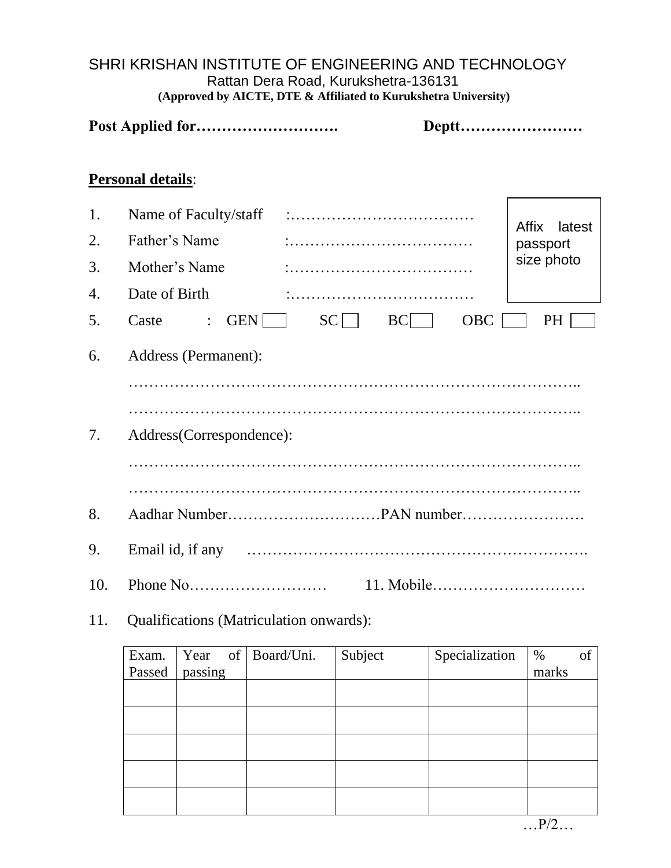### SHRI KRISHAN INSTITUTE OF ENGINEERING AND TECHNOLOGY Rattan Dera Road, Kurukshetra-136131  **(Approved by AICTE, DTE & Affiliated to Kurukshetra University)**

|                      |                                                                          |           | Deptt      |                                                  |  |  |
|----------------------|--------------------------------------------------------------------------|-----------|------------|--------------------------------------------------|--|--|
|                      | <b>Personal details:</b>                                                 |           |            |                                                  |  |  |
| 1.<br>2.<br>3.<br>4. | Name of Faculty/staff<br>Father's Name<br>Mother's Name<br>Date of Birth |           |            | <b>Affix</b><br>latest<br>passport<br>size photo |  |  |
| 5.                   | <b>GEN</b><br>Caste<br>$\ddot{\cdot}$                                    | SC<br> BC | <b>OBC</b> | <b>PH</b>                                        |  |  |
| 6.                   | Address (Permanent):                                                     |           |            |                                                  |  |  |
| 7.                   | Address(Correspondence):                                                 |           |            |                                                  |  |  |
|                      |                                                                          |           |            |                                                  |  |  |
| 8.                   |                                                                          |           |            |                                                  |  |  |
| 9.                   | Email id, if any                                                         |           |            |                                                  |  |  |
| 10.                  |                                                                          |           | 11. Mobile |                                                  |  |  |

# 11. Qualifications (Matriculation onwards):

| Exam.  |         | Year of Board/Uni. | Subject | Specialization | %     | of |
|--------|---------|--------------------|---------|----------------|-------|----|
| Passed | passing |                    |         |                | marks |    |
|        |         |                    |         |                |       |    |
|        |         |                    |         |                |       |    |
|        |         |                    |         |                |       |    |
|        |         |                    |         |                |       |    |
|        |         |                    |         |                |       |    |
|        |         |                    |         |                |       |    |
|        |         |                    |         |                |       |    |
|        |         |                    |         |                |       |    |

…P/2…